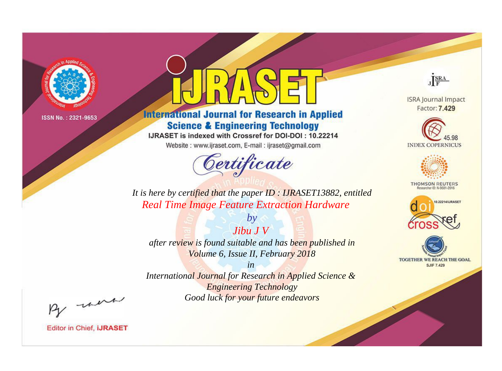

# **International Journal for Research in Applied Science & Engineering Technology**

IJRASET is indexed with Crossref for DOI-DOI: 10.22214

Website: www.ijraset.com, E-mail: ijraset@gmail.com



JERA

**ISRA Journal Impact** Factor: 7.429





**THOMSON REUTERS** 



TOGETHER WE REACH THE GOAL **SJIF 7.429** 

It is here by certified that the paper ID: IJRASET13882, entitled **Real Time Image Feature Extraction Hardware** 

 $Jibu$   $JV$ after review is found suitable and has been published in Volume 6, Issue II, February 2018

 $by$ 

 $in$ International Journal for Research in Applied Science & **Engineering Technology** Good luck for your future endeavors

By morn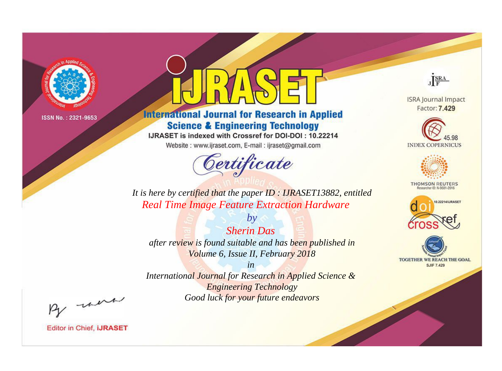

# **International Journal for Research in Applied Science & Engineering Technology**

IJRASET is indexed with Crossref for DOI-DOI: 10.22214

Website: www.ijraset.com, E-mail: ijraset@gmail.com



JERA

**ISRA Journal Impact** Factor: 7.429





**THOMSON REUTERS** 



TOGETHER WE REACH THE GOAL **SJIF 7.429** 

*It is here by certified that the paper ID : IJRASET13882, entitled Real Time Image Feature Extraction Hardware*

*Sherin Das after review is found suitable and has been published in Volume 6, Issue II, February 2018*

*by*

*in* 

*International Journal for Research in Applied Science & Engineering Technology Good luck for your future endeavors*

By morn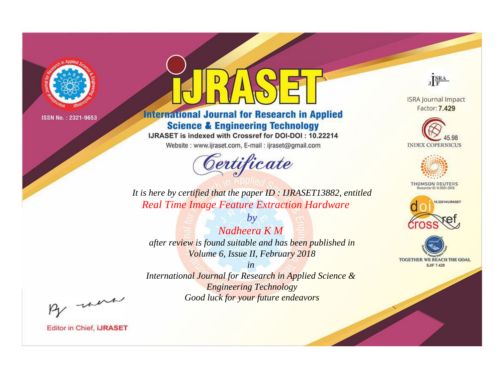

# **International Journal for Research in Applied Science & Engineering Technology**

IJRASET is indexed with Crossref for DOI-DOI: 10.22214

Website: www.ijraset.com, E-mail: ijraset@gmail.com



JERA

**ISRA Journal Impact** Factor: 7.429





**THOMSON REUTERS** 



TOGETHER WE REACH THE GOAL **SJIF 7.429** 

*It is here by certified that the paper ID : IJRASET13882, entitled Real Time Image Feature Extraction Hardware*

*Nadheera K M after review is found suitable and has been published in Volume 6, Issue II, February 2018*

*by*

*in* 

*International Journal for Research in Applied Science & Engineering Technology Good luck for your future endeavors*

By morn